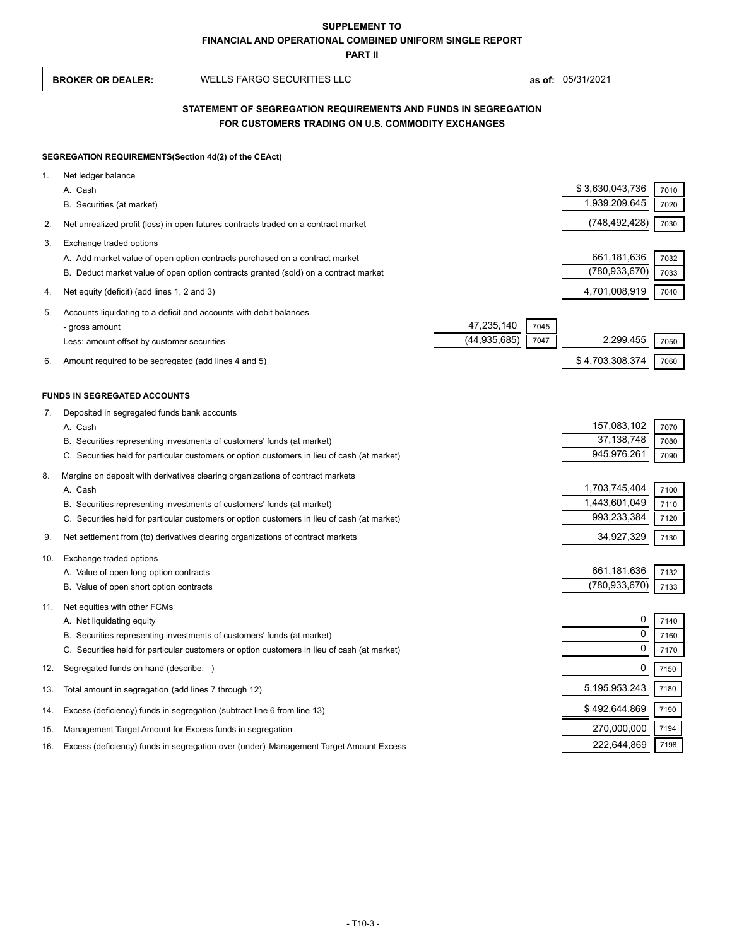**BROKER OR DEALER:** WELLS FARGO SECURITIES LLC **as of:** 05/31/2021

# **FOR CUSTOMERS TRADING ON U.S. COMMODITY EXCHANGES STATEMENT OF SEGREGATION REQUIREMENTS AND FUNDS IN SEGREGATION**

#### **SEGREGATION REQUIREMENTS(Section 4d(2) of the CEAct)**

| 1.  | Net ledger balance                                                                                                                                                    |                                |              |
|-----|-----------------------------------------------------------------------------------------------------------------------------------------------------------------------|--------------------------------|--------------|
|     | A. Cash                                                                                                                                                               | \$3,630,043,736                | 7010         |
|     | B. Securities (at market)                                                                                                                                             | 1,939,209,645                  | 7020         |
| 2.  | Net unrealized profit (loss) in open futures contracts traded on a contract market                                                                                    | (748,492,428)                  | 7030         |
| 3.  | Exchange traded options                                                                                                                                               |                                |              |
|     | A. Add market value of open option contracts purchased on a contract market                                                                                           | 661, 181, 636                  | 7032         |
|     | B. Deduct market value of open option contracts granted (sold) on a contract market                                                                                   | (780, 933, 670)                | 7033         |
| 4.  | Net equity (deficit) (add lines 1, 2 and 3)                                                                                                                           | 4,701,008,919                  | 7040         |
| 5.  | Accounts liquidating to a deficit and accounts with debit balances                                                                                                    |                                |              |
|     | 47,235,140<br>7045<br>- gross amount                                                                                                                                  |                                |              |
|     | (44, 935, 685)<br>7047<br>Less: amount offset by customer securities                                                                                                  | 2,299,455                      | 7050         |
| 6.  | Amount required to be segregated (add lines 4 and 5)                                                                                                                  | \$4,703,308,374                | 7060         |
|     |                                                                                                                                                                       |                                |              |
|     | FUNDS IN SEGREGATED ACCOUNTS                                                                                                                                          |                                |              |
| 7.  | Deposited in segregated funds bank accounts                                                                                                                           |                                |              |
|     | A. Cash                                                                                                                                                               | 157,083,102                    | 7070         |
|     | B. Securities representing investments of customers' funds (at market)<br>C. Securities held for particular customers or option customers in lieu of cash (at market) | 37, 138, 748<br>945,976,261    | 7080         |
|     |                                                                                                                                                                       |                                | 7090         |
| 8.  | Margins on deposit with derivatives clearing organizations of contract markets                                                                                        |                                |              |
|     | A. Cash                                                                                                                                                               | 1,703,745,404<br>1,443,601,049 | 7100         |
|     | B. Securities representing investments of customers' funds (at market)<br>C. Securities held for particular customers or option customers in lieu of cash (at market) | 993,233,384                    | 7110<br>7120 |
|     |                                                                                                                                                                       |                                |              |
| 9.  | Net settlement from (to) derivatives clearing organizations of contract markets                                                                                       | 34,927,329                     | 7130         |
| 10. | Exchange traded options                                                                                                                                               |                                |              |
|     | A. Value of open long option contracts                                                                                                                                | 661,181,636                    | 7132         |
|     | B. Value of open short option contracts                                                                                                                               | (780, 933, 670)                | 7133         |
| 11. | Net equities with other FCMs                                                                                                                                          |                                |              |
|     | A. Net liquidating equity                                                                                                                                             | 0<br>$\mathbf 0$               | 7140         |
|     | B. Securities representing investments of customers' funds (at market)                                                                                                | $\mathbf 0$                    | 7160         |
|     | C. Securities held for particular customers or option customers in lieu of cash (at market)                                                                           |                                | 7170         |
| 12. | Segregated funds on hand (describe: )                                                                                                                                 | 0                              | 7150         |
| 13. | Total amount in segregation (add lines 7 through 12)                                                                                                                  | 5,195,953,243                  | 7180         |
| 14. | Excess (deficiency) funds in segregation (subtract line 6 from line 13)                                                                                               | \$492,644,869                  | 7190         |
| 15. | Management Target Amount for Excess funds in segregation                                                                                                              | 270,000,000                    | 7194         |
| 16. | Excess (deficiency) funds in segregation over (under) Management Target Amount Excess                                                                                 | 222,644,869                    | 7198         |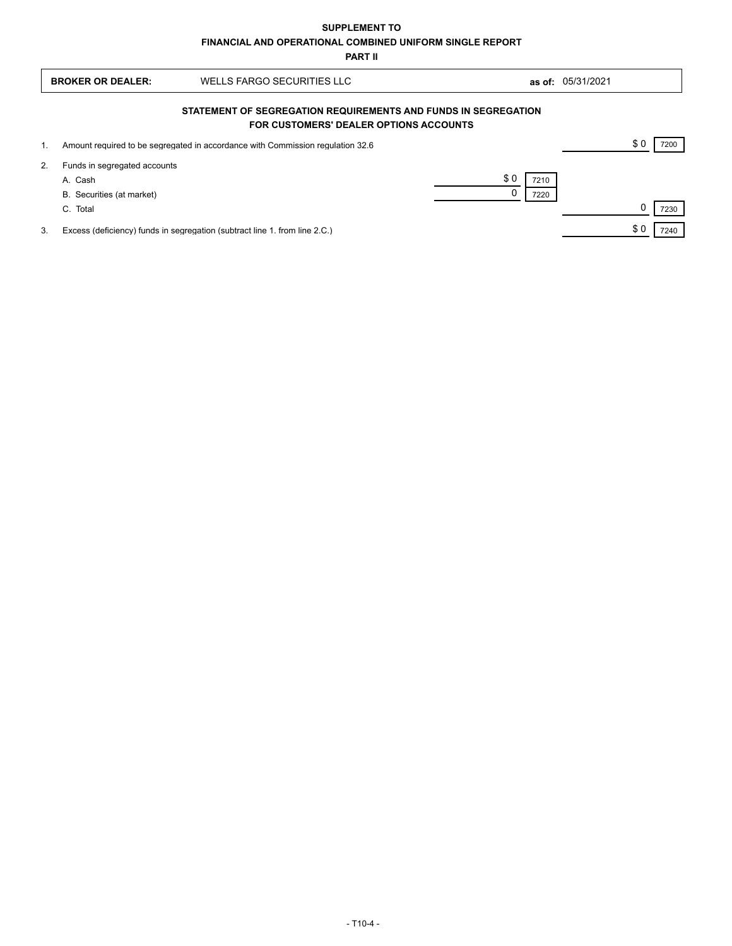| <b>BROKER OR DEALER:</b> |                                                                                                          | WELLS FARGO SECURITIES LLC                                                     |                     | as of: 05/31/2021 |  |      |  |
|--------------------------|----------------------------------------------------------------------------------------------------------|--------------------------------------------------------------------------------|---------------------|-------------------|--|------|--|
|                          | STATEMENT OF SEGREGATION REQUIREMENTS AND FUNDS IN SEGREGATION<br>FOR CUSTOMERS' DEALER OPTIONS ACCOUNTS |                                                                                |                     |                   |  |      |  |
| 1.                       |                                                                                                          | Amount required to be segregated in accordance with Commission regulation 32.6 |                     |                   |  | 7200 |  |
| 2.                       | Funds in segregated accounts<br>A. Cash<br>B. Securities (at market)<br>C. Total                         |                                                                                | \$0<br>7210<br>7220 |                   |  | 7230 |  |
| 3.                       |                                                                                                          | Excess (deficiency) funds in segregation (subtract line 1. from line 2.C.)     |                     |                   |  | 7240 |  |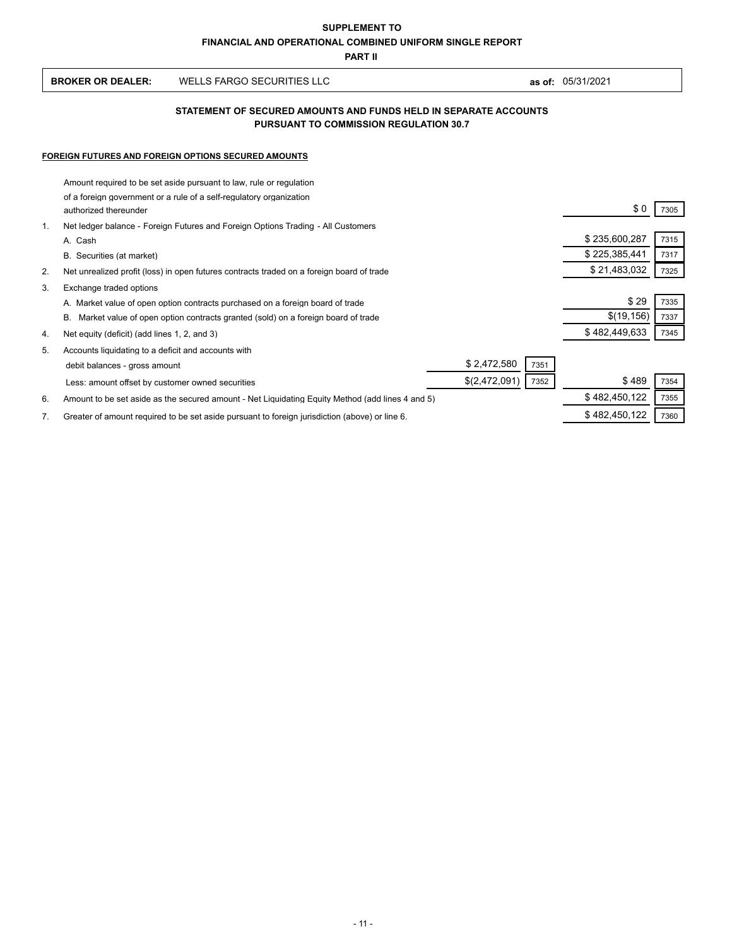| WELLS FARGO SECURITIES LLC<br><b>BROKER OR DEALER:</b><br>as of: | 05/31/2021 |
|------------------------------------------------------------------|------------|
|------------------------------------------------------------------|------------|

### **PURSUANT TO COMMISSION REGULATION 30.7 STATEMENT OF SECURED AMOUNTS AND FUNDS HELD IN SEPARATE ACCOUNTS**

#### **FOREIGN FUTURES AND FOREIGN OPTIONS SECURED AMOUNTS**

|                | Amount required to be set aside pursuant to law, rule or regulation                              |               |      |
|----------------|--------------------------------------------------------------------------------------------------|---------------|------|
|                | of a foreign government or a rule of a self-regulatory organization<br>authorized thereunder     | \$0           | 7305 |
| $\mathbf{1}$ . | Net ledger balance - Foreign Futures and Foreign Options Trading - All Customers                 |               |      |
|                | A. Cash                                                                                          | \$235,600,287 | 7315 |
|                | B. Securities (at market)                                                                        | \$225,385,441 | 7317 |
| 2.             | Net unrealized profit (loss) in open futures contracts traded on a foreign board of trade        | \$21,483,032  | 7325 |
| 3.             | Exchange traded options                                                                          |               |      |
|                | A. Market value of open option contracts purchased on a foreign board of trade                   | \$29          | 7335 |
|                | В.<br>Market value of open option contracts granted (sold) on a foreign board of trade           | \$(19, 156)   | 7337 |
| 4.             | Net equity (deficit) (add lines 1, 2, and 3)                                                     | \$482,449,633 | 7345 |
| 5.             | Accounts liquidating to a deficit and accounts with                                              |               |      |
|                | \$2,472,580<br>7351<br>debit balances - gross amount                                             |               |      |
|                | \$(2,472,091)<br>7352<br>Less: amount offset by customer owned securities                        | \$489         | 7354 |
| 6.             | Amount to be set aside as the secured amount - Net Liquidating Equity Method (add lines 4 and 5) | \$482,450,122 | 7355 |
| 7.             | Greater of amount required to be set aside pursuant to foreign jurisdiction (above) or line 6.   | \$482,450,122 | 7360 |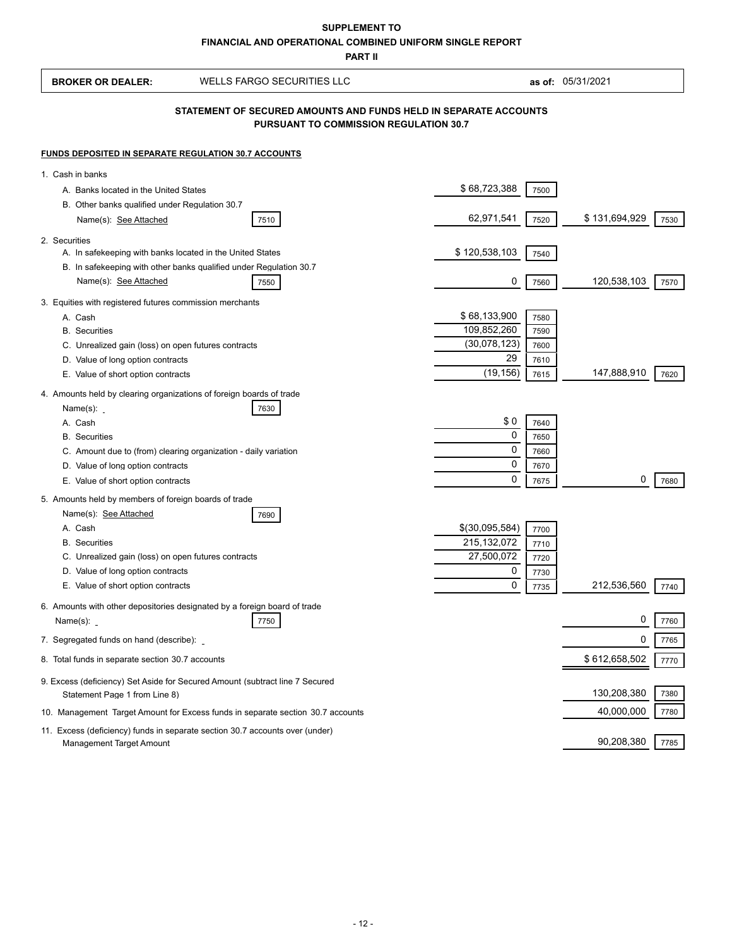# **FINANCIAL AND OPERATIONAL COMBINED UNIFORM SINGLE REPORT SUPPLEMENT TO**

**PART II**

| <b>BROKER OR DEALER:</b>                                                                                   | <b>WELLS FARGO SECURITIES LLC</b>                                               |                |              | as of: 05/31/2021 |      |  |
|------------------------------------------------------------------------------------------------------------|---------------------------------------------------------------------------------|----------------|--------------|-------------------|------|--|
| STATEMENT OF SECURED AMOUNTS AND FUNDS HELD IN SEPARATE ACCOUNTS<br>PURSUANT TO COMMISSION REGULATION 30.7 |                                                                                 |                |              |                   |      |  |
| <b>FUNDS DEPOSITED IN SEPARATE REGULATION 30.7 ACCOUNTS</b>                                                |                                                                                 |                |              |                   |      |  |
| 1. Cash in banks                                                                                           |                                                                                 |                |              |                   |      |  |
| A. Banks located in the United States                                                                      |                                                                                 | \$68,723,388   | 7500         |                   |      |  |
| B. Other banks qualified under Regulation 30.7                                                             |                                                                                 |                |              |                   |      |  |
| Name(s): See Attached                                                                                      | 7510                                                                            | 62,971,541     | 7520         | \$131,694,929     | 7530 |  |
| 2. Securities                                                                                              |                                                                                 |                |              |                   |      |  |
| A. In safekeeping with banks located in the United States                                                  | B. In safekeeping with other banks qualified under Regulation 30.7              | \$120,538,103  | 7540         |                   |      |  |
| Name(s): See Attached                                                                                      | 7550                                                                            | 0              | 7560         | 120,538,103       | 7570 |  |
| 3. Equities with registered futures commission merchants                                                   |                                                                                 |                |              |                   |      |  |
| A. Cash                                                                                                    |                                                                                 | \$68,133,900   | 7580         |                   |      |  |
| <b>B.</b> Securities                                                                                       |                                                                                 | 109,852,260    | 7590         |                   |      |  |
| C. Unrealized gain (loss) on open futures contracts                                                        |                                                                                 | (30,078,123)   | 7600         |                   |      |  |
| D. Value of long option contracts                                                                          |                                                                                 | 29             | 7610         |                   |      |  |
| E. Value of short option contracts                                                                         |                                                                                 | (19, 156)      | 7615         | 147,888,910       | 7620 |  |
| 4. Amounts held by clearing organizations of foreign boards of trade<br>Name(s):                           | 7630                                                                            |                |              |                   |      |  |
| A. Cash                                                                                                    |                                                                                 | \$0<br>0       | 7640         |                   |      |  |
| <b>B.</b> Securities                                                                                       |                                                                                 | 0              | 7650         |                   |      |  |
| C. Amount due to (from) clearing organization - daily variation<br>D. Value of long option contracts       |                                                                                 | 0              | 7660<br>7670 |                   |      |  |
| E. Value of short option contracts                                                                         |                                                                                 | 0              | 7675         | 0                 | 7680 |  |
|                                                                                                            |                                                                                 |                |              |                   |      |  |
| 5. Amounts held by members of foreign boards of trade<br>Name(s): See Attached                             | 7690                                                                            |                |              |                   |      |  |
| A. Cash                                                                                                    |                                                                                 | \$(30,095,584) | 7700         |                   |      |  |
| <b>B.</b> Securities                                                                                       |                                                                                 | 215,132,072    | 7710         |                   |      |  |
| C. Unrealized gain (loss) on open futures contracts                                                        |                                                                                 | 27,500,072     | 7720         |                   |      |  |
| D. Value of long option contracts                                                                          |                                                                                 | 0              | 7730         |                   |      |  |
| E. Value of short option contracts                                                                         |                                                                                 | 0              | 7735         | 212,536,560       | 7740 |  |
| 6. Amounts with other depositories designated by a foreign board of trade<br>Name(s): <b>_</b>             | 7750                                                                            |                |              | 0                 | 7760 |  |
| 7. Segregated funds on hand (describe):                                                                    |                                                                                 |                |              | 0                 | 7765 |  |
| 8. Total funds in separate section 30.7 accounts                                                           |                                                                                 |                |              | \$612,658,502     | 7770 |  |
| Statement Page 1 from Line 8)                                                                              | 9. Excess (deficiency) Set Aside for Secured Amount (subtract line 7 Secured    |                |              | 130,208,380       | 7380 |  |
|                                                                                                            | 10. Management Target Amount for Excess funds in separate section 30.7 accounts |                |              | 40,000,000        | 7780 |  |
| Management Target Amount                                                                                   | 11. Excess (deficiency) funds in separate section 30.7 accounts over (under)    |                |              | 90,208,380        | 7785 |  |